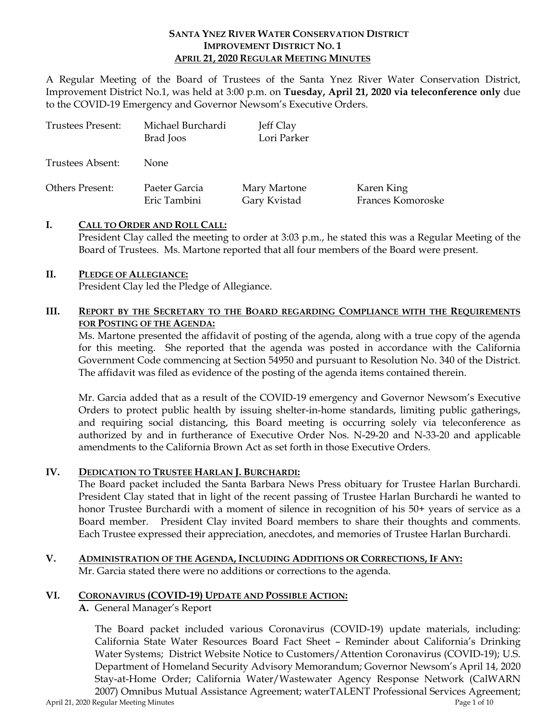#### **SANTA YNEZ RIVER WATER CONSERVATION DISTRICT IMPROVEMENT DISTRICT NO. 1 APRIL 21, 2020 REGULAR MEETING MINUTES**

A Regular Meeting of the Board of Trustees of the Santa Ynez River Water Conservation District, Improvement District No.1, was held at 3:00 p.m. on **Tuesday, April 21, 2020 via teleconference only** due to the COVID-19 Emergency and Governor Newsom's Executive Orders.

| <b>Trustees Present:</b> | Michael Burchardi<br>Brad Joos | Jeff Clay<br>Lori Parker     |                                 |
|--------------------------|--------------------------------|------------------------------|---------------------------------|
| Trustees Absent:         | None.                          |                              |                                 |
| Others Present:          | Paeter Garcia<br>Eric Tambini  | Mary Martone<br>Gary Kvistad | Karen King<br>Frances Komoroske |

## **I. CALL TO ORDER AND ROLL CALL:**

President Clay called the meeting to order at 3:03 p.m., he stated this was a Regular Meeting of the Board of Trustees. Ms. Martone reported that all four members of the Board were present.

## **II. PLEDGE OF ALLEGIANCE:**

President Clay led the Pledge of Allegiance.

# **III. REPORT BY THE SECRETARY TO THE BOARD REGARDING COMPLIANCE WITH THE REQUIREMENTS FOR POSTING OF THE AGENDA:**

Ms. Martone presented the affidavit of posting of the agenda, along with a true copy of the agenda for this meeting. She reported that the agenda was posted in accordance with the California Government Code commencing at Section 54950 and pursuant to Resolution No. 340 of the District. The affidavit was filed as evidence of the posting of the agenda items contained therein.

Mr. Garcia added that as a result of the COVID-19 emergency and Governor Newsom's Executive Orders to protect public health by issuing shelter-in-home standards, limiting public gatherings, and requiring social distancing, this Board meeting is occurring solely via teleconference as authorized by and in furtherance of Executive Order Nos. N-29-20 and N-33-20 and applicable amendments to the California Brown Act as set forth in those Executive Orders.

# **IV. DEDICATION TO TRUSTEE HARLAN J. BURCHARDI:**

The Board packet included the Santa Barbara News Press obituary for Trustee Harlan Burchardi. President Clay stated that in light of the recent passing of Trustee Harlan Burchardi he wanted to honor Trustee Burchardi with a moment of silence in recognition of his 50+ years of service as a Board member. President Clay invited Board members to share their thoughts and comments. Each Trustee expressed their appreciation, anecdotes, and memories of Trustee Harlan Burchardi.

#### **V. ADMINISTRATION OF THE AGENDA, INCLUDING ADDITIONS OR CORRECTIONS, IF ANY:**  Mr. Garcia stated there were no additions or corrections to the agenda.

# **VI. CORONAVIRUS (COVID-19) UPDATE AND POSSIBLE ACTION:**

#### **A.** General Manager's Report

The Board packet included various Coronavirus (COVID-19) update materials, including: California State Water Resources Board Fact Sheet – Reminder about California's Drinking Water Systems; District Website Notice to Customers/Attention Coronavirus (COVID-19); U.S. Department of Homeland Security Advisory Memorandum; Governor Newsom's April 14, 2020 Stay-at-Home Order; California Water/Wastewater Agency Response Network (CalWARN 2007) Omnibus Mutual Assistance Agreement; waterTALENT Professional Services Agreement;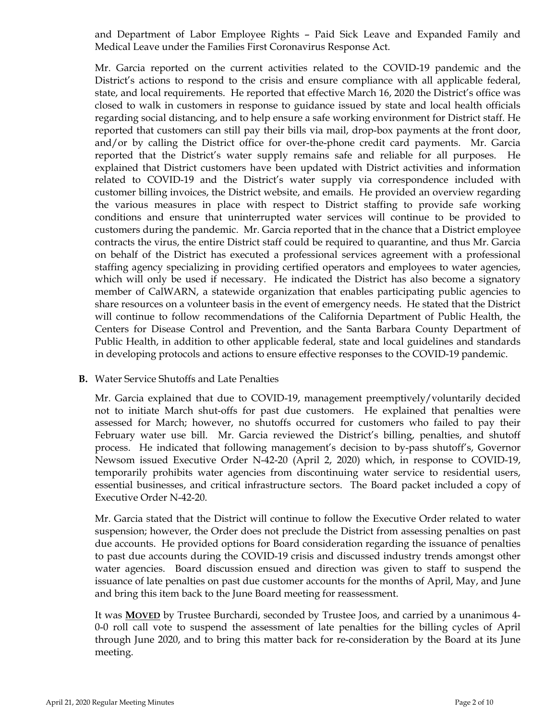and Department of Labor Employee Rights – Paid Sick Leave and Expanded Family and Medical Leave under the Families First Coronavirus Response Act.

Mr. Garcia reported on the current activities related to the COVID-19 pandemic and the District's actions to respond to the crisis and ensure compliance with all applicable federal, state, and local requirements. He reported that effective March 16, 2020 the District's office was closed to walk in customers in response to guidance issued by state and local health officials regarding social distancing, and to help ensure a safe working environment for District staff. He reported that customers can still pay their bills via mail, drop-box payments at the front door, and/or by calling the District office for over-the-phone credit card payments. Mr. Garcia reported that the District's water supply remains safe and reliable for all purposes. He explained that District customers have been updated with District activities and information related to COVID-19 and the District's water supply via correspondence included with customer billing invoices, the District website, and emails. He provided an overview regarding the various measures in place with respect to District staffing to provide safe working conditions and ensure that uninterrupted water services will continue to be provided to customers during the pandemic. Mr. Garcia reported that in the chance that a District employee contracts the virus, the entire District staff could be required to quarantine, and thus Mr. Garcia on behalf of the District has executed a professional services agreement with a professional staffing agency specializing in providing certified operators and employees to water agencies, which will only be used if necessary. He indicated the District has also become a signatory member of CalWARN, a statewide organization that enables participating public agencies to share resources on a volunteer basis in the event of emergency needs. He stated that the District will continue to follow recommendations of the California Department of Public Health, the Centers for Disease Control and Prevention, and the Santa Barbara County Department of Public Health, in addition to other applicable federal, state and local guidelines and standards in developing protocols and actions to ensure effective responses to the COVID-19 pandemic.

#### **B.** Water Service Shutoffs and Late Penalties

Mr. Garcia explained that due to COVID-19, management preemptively/voluntarily decided not to initiate March shut-offs for past due customers. He explained that penalties were assessed for March; however, no shutoffs occurred for customers who failed to pay their February water use bill. Mr. Garcia reviewed the District's billing, penalties, and shutoff process. He indicated that following management's decision to by-pass shutoff's, Governor Newsom issued Executive Order N-42-20 (April 2, 2020) which, in response to COVID-19, temporarily prohibits water agencies from discontinuing water service to residential users, essential businesses, and critical infrastructure sectors. The Board packet included a copy of Executive Order N-42-20.

Mr. Garcia stated that the District will continue to follow the Executive Order related to water suspension; however, the Order does not preclude the District from assessing penalties on past due accounts. He provided options for Board consideration regarding the issuance of penalties to past due accounts during the COVID-19 crisis and discussed industry trends amongst other water agencies. Board discussion ensued and direction was given to staff to suspend the issuance of late penalties on past due customer accounts for the months of April, May, and June and bring this item back to the June Board meeting for reassessment.

It was **MOVED** by Trustee Burchardi, seconded by Trustee Joos, and carried by a unanimous 4- 0-0 roll call vote to suspend the assessment of late penalties for the billing cycles of April through June 2020, and to bring this matter back for re-consideration by the Board at its June meeting.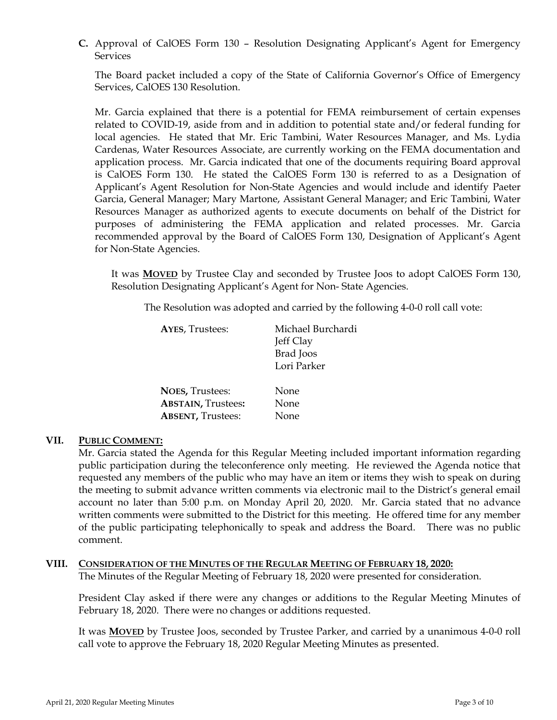**C.** Approval of CalOES Form 130 – Resolution Designating Applicant's Agent for Emergency **Services** 

The Board packet included a copy of the State of California Governor's Office of Emergency Services, CalOES 130 Resolution.

Mr. Garcia explained that there is a potential for FEMA reimbursement of certain expenses related to COVID-19, aside from and in addition to potential state and/or federal funding for local agencies. He stated that Mr. Eric Tambini, Water Resources Manager, and Ms. Lydia Cardenas, Water Resources Associate, are currently working on the FEMA documentation and application process. Mr. Garcia indicated that one of the documents requiring Board approval is CalOES Form 130. He stated the CalOES Form 130 is referred to as a Designation of Applicant's Agent Resolution for Non-State Agencies and would include and identify Paeter Garcia, General Manager; Mary Martone, Assistant General Manager; and Eric Tambini, Water Resources Manager as authorized agents to execute documents on behalf of the District for purposes of administering the FEMA application and related processes. Mr. Garcia recommended approval by the Board of CalOES Form 130, Designation of Applicant's Agent for Non-State Agencies.

It was **MOVED** by Trustee Clay and seconded by Trustee Joos to adopt CalOES Form 130, Resolution Designating Applicant's Agent for Non- State Agencies.

The Resolution was adopted and carried by the following 4-0-0 roll call vote:

| <b>AYES, Trustees:</b>                                                          | Michael Burchardi<br>Jeff Clay<br><b>Brad</b> Joos |
|---------------------------------------------------------------------------------|----------------------------------------------------|
| <b>NOES, Trustees:</b><br><b>ABSTAIN, Trustees:</b><br><b>ABSENT, Trustees:</b> | Lori Parker<br>None<br>None<br>None                |

#### **VII. PUBLIC COMMENT:**

Mr. Garcia stated the Agenda for this Regular Meeting included important information regarding public participation during the teleconference only meeting. He reviewed the Agenda notice that requested any members of the public who may have an item or items they wish to speak on during the meeting to submit advance written comments via electronic mail to the District's general email account no later than 5:00 p.m. on Monday April 20, 2020. Mr. Garcia stated that no advance written comments were submitted to the District for this meeting. He offered time for any member of the public participating telephonically to speak and address the Board. There was no public comment.

#### **VIII. CONSIDERATION OF THE MINUTES OF THE REGULAR MEETING OF FEBRUARY 18, 2020:**  The Minutes of the Regular Meeting of February 18, 2020 were presented for consideration.

President Clay asked if there were any changes or additions to the Regular Meeting Minutes of February 18, 2020. There were no changes or additions requested.

It was **MOVED** by Trustee Joos, seconded by Trustee Parker, and carried by a unanimous 4-0-0 roll call vote to approve the February 18, 2020 Regular Meeting Minutes as presented.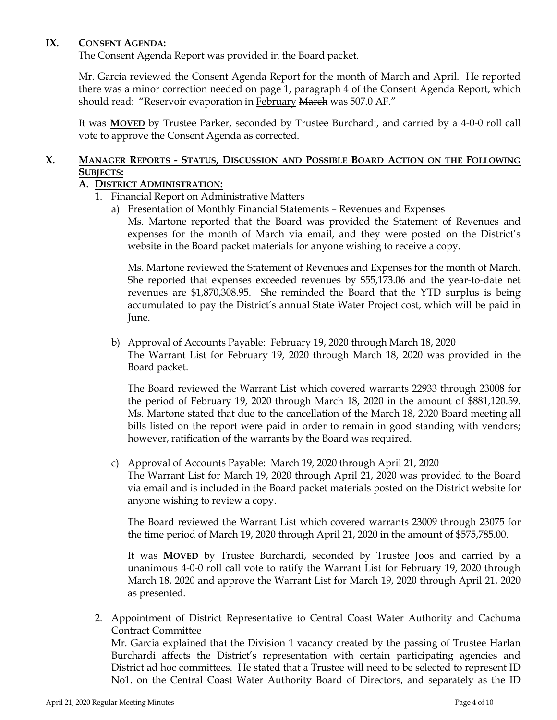# **IX. CONSENT AGENDA:**

The Consent Agenda Report was provided in the Board packet.

Mr. Garcia reviewed the Consent Agenda Report for the month of March and April. He reported there was a minor correction needed on page 1, paragraph 4 of the Consent Agenda Report, which should read: "Reservoir evaporation in February March was 507.0 AF."

It was **MOVED** by Trustee Parker, seconded by Trustee Burchardi, and carried by a 4-0-0 roll call vote to approve the Consent Agenda as corrected.

# **X. MANAGER REPORTS - STATUS, DISCUSSION AND POSSIBLE BOARD ACTION ON THE FOLLOWING SUBJECTS:**

# **A. DISTRICT ADMINISTRATION:**

- 1. Financial Report on Administrative Matters
	- a) Presentation of Monthly Financial Statements Revenues and Expenses

Ms. Martone reported that the Board was provided the Statement of Revenues and expenses for the month of March via email, and they were posted on the District's website in the Board packet materials for anyone wishing to receive a copy.

Ms. Martone reviewed the Statement of Revenues and Expenses for the month of March. She reported that expenses exceeded revenues by \$55,173.06 and the year-to-date net revenues are \$1,870,308.95. She reminded the Board that the YTD surplus is being accumulated to pay the District's annual State Water Project cost, which will be paid in June.

b) Approval of Accounts Payable: February 19, 2020 through March 18, 2020 The Warrant List for February 19, 2020 through March 18, 2020 was provided in the Board packet.

The Board reviewed the Warrant List which covered warrants 22933 through 23008 for the period of February 19, 2020 through March 18, 2020 in the amount of \$881,120.59. Ms. Martone stated that due to the cancellation of the March 18, 2020 Board meeting all bills listed on the report were paid in order to remain in good standing with vendors; however, ratification of the warrants by the Board was required.

c) Approval of Accounts Payable: March 19, 2020 through April 21, 2020 The Warrant List for March 19, 2020 through April 21, 2020 was provided to the Board via email and is included in the Board packet materials posted on the District website for anyone wishing to review a copy.

The Board reviewed the Warrant List which covered warrants 23009 through 23075 for the time period of March 19, 2020 through April 21, 2020 in the amount of \$575,785.00.

It was **MOVED** by Trustee Burchardi, seconded by Trustee Joos and carried by a unanimous 4-0-0 roll call vote to ratify the Warrant List for February 19, 2020 through March 18, 2020 and approve the Warrant List for March 19, 2020 through April 21, 2020 as presented.

2. Appointment of District Representative to Central Coast Water Authority and Cachuma Contract Committee

Mr. Garcia explained that the Division 1 vacancy created by the passing of Trustee Harlan Burchardi affects the District's representation with certain participating agencies and District ad hoc committees. He stated that a Trustee will need to be selected to represent ID No1. on the Central Coast Water Authority Board of Directors, and separately as the ID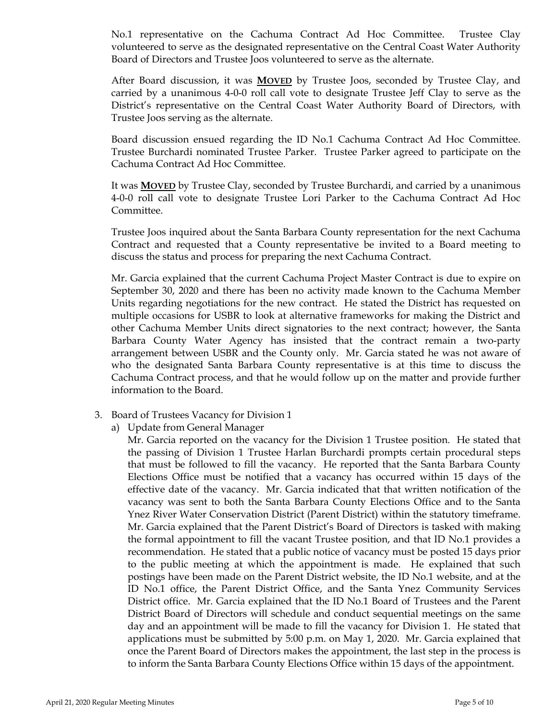No.1 representative on the Cachuma Contract Ad Hoc Committee. Trustee Clay volunteered to serve as the designated representative on the Central Coast Water Authority Board of Directors and Trustee Joos volunteered to serve as the alternate.

After Board discussion, it was **MOVED** by Trustee Joos, seconded by Trustee Clay, and carried by a unanimous 4-0-0 roll call vote to designate Trustee Jeff Clay to serve as the District's representative on the Central Coast Water Authority Board of Directors, with Trustee Joos serving as the alternate.

Board discussion ensued regarding the ID No.1 Cachuma Contract Ad Hoc Committee. Trustee Burchardi nominated Trustee Parker. Trustee Parker agreed to participate on the Cachuma Contract Ad Hoc Committee.

It was **MOVED** by Trustee Clay, seconded by Trustee Burchardi, and carried by a unanimous 4-0-0 roll call vote to designate Trustee Lori Parker to the Cachuma Contract Ad Hoc Committee.

Trustee Joos inquired about the Santa Barbara County representation for the next Cachuma Contract and requested that a County representative be invited to a Board meeting to discuss the status and process for preparing the next Cachuma Contract.

Mr. Garcia explained that the current Cachuma Project Master Contract is due to expire on September 30, 2020 and there has been no activity made known to the Cachuma Member Units regarding negotiations for the new contract. He stated the District has requested on multiple occasions for USBR to look at alternative frameworks for making the District and other Cachuma Member Units direct signatories to the next contract; however, the Santa Barbara County Water Agency has insisted that the contract remain a two-party arrangement between USBR and the County only. Mr. Garcia stated he was not aware of who the designated Santa Barbara County representative is at this time to discuss the Cachuma Contract process, and that he would follow up on the matter and provide further information to the Board.

- 3. Board of Trustees Vacancy for Division 1
	- a) Update from General Manager

Mr. Garcia reported on the vacancy for the Division 1 Trustee position. He stated that the passing of Division 1 Trustee Harlan Burchardi prompts certain procedural steps that must be followed to fill the vacancy. He reported that the Santa Barbara County Elections Office must be notified that a vacancy has occurred within 15 days of the effective date of the vacancy. Mr. Garcia indicated that that written notification of the vacancy was sent to both the Santa Barbara County Elections Office and to the Santa Ynez River Water Conservation District (Parent District) within the statutory timeframe. Mr. Garcia explained that the Parent District's Board of Directors is tasked with making the formal appointment to fill the vacant Trustee position, and that ID No.1 provides a recommendation. He stated that a public notice of vacancy must be posted 15 days prior to the public meeting at which the appointment is made. He explained that such postings have been made on the Parent District website, the ID No.1 website, and at the ID No.1 office, the Parent District Office, and the Santa Ynez Community Services District office. Mr. Garcia explained that the ID No.1 Board of Trustees and the Parent District Board of Directors will schedule and conduct sequential meetings on the same day and an appointment will be made to fill the vacancy for Division 1. He stated that applications must be submitted by 5:00 p.m. on May 1, 2020. Mr. Garcia explained that once the Parent Board of Directors makes the appointment, the last step in the process is to inform the Santa Barbara County Elections Office within 15 days of the appointment.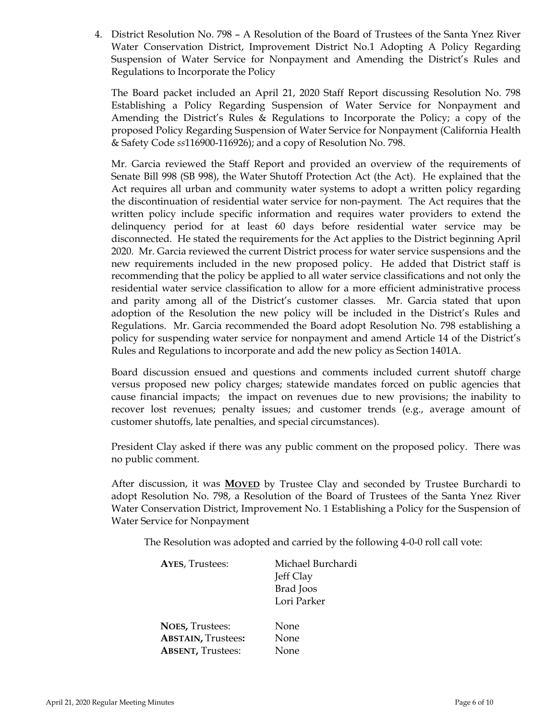4. District Resolution No. 798 – A Resolution of the Board of Trustees of the Santa Ynez River Water Conservation District, Improvement District No.1 Adopting A Policy Regarding Suspension of Water Service for Nonpayment and Amending the District's Rules and Regulations to Incorporate the Policy

The Board packet included an April 21, 2020 Staff Report discussing Resolution No. 798 Establishing a Policy Regarding Suspension of Water Service for Nonpayment and Amending the District's Rules & Regulations to Incorporate the Policy; a copy of the proposed Policy Regarding Suspension of Water Service for Nonpayment (California Health & Safety Code *ss*116900-116926); and a copy of Resolution No. 798.

Mr. Garcia reviewed the Staff Report and provided an overview of the requirements of Senate Bill 998 (SB 998), the Water Shutoff Protection Act (the Act). He explained that the Act requires all urban and community water systems to adopt a written policy regarding the discontinuation of residential water service for non-payment. The Act requires that the written policy include specific information and requires water providers to extend the delinquency period for at least 60 days before residential water service may be disconnected. He stated the requirements for the Act applies to the District beginning April 2020. Mr. Garcia reviewed the current District process for water service suspensions and the new requirements included in the new proposed policy. He added that District staff is recommending that the policy be applied to all water service classifications and not only the residential water service classification to allow for a more efficient administrative process and parity among all of the District's customer classes. Mr. Garcia stated that upon adoption of the Resolution the new policy will be included in the District's Rules and Regulations. Mr. Garcia recommended the Board adopt Resolution No. 798 establishing a policy for suspending water service for nonpayment and amend Article 14 of the District's Rules and Regulations to incorporate and add the new policy as Section 1401A.

Board discussion ensued and questions and comments included current shutoff charge versus proposed new policy charges; statewide mandates forced on public agencies that cause financial impacts; the impact on revenues due to new provisions; the inability to recover lost revenues; penalty issues; and customer trends (e.g., average amount of customer shutoffs, late penalties, and special circumstances).

President Clay asked if there was any public comment on the proposed policy. There was no public comment.

After discussion, it was **MOVED** by Trustee Clay and seconded by Trustee Burchardi to adopt Resolution No. 798, a Resolution of the Board of Trustees of the Santa Ynez River Water Conservation District, Improvement No. 1 Establishing a Policy for the Suspension of Water Service for Nonpayment

The Resolution was adopted and carried by the following 4-0-0 roll call vote:

| <b>AYES, Trustees:</b>    | Michael Burchardi<br>Jeff Clay<br><b>Brad</b> Joos<br>Lori Parker |
|---------------------------|-------------------------------------------------------------------|
| <b>NOES, Trustees:</b>    | None                                                              |
| <b>ABSTAIN, Trustees:</b> | None                                                              |
| <b>ABSENT, Trustees:</b>  | None                                                              |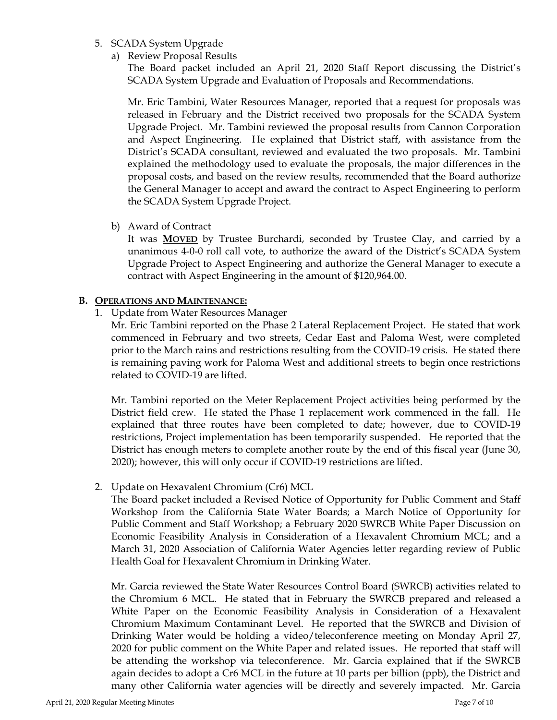# 5. SCADA System Upgrade

a) Review Proposal Results

The Board packet included an April 21, 2020 Staff Report discussing the District's SCADA System Upgrade and Evaluation of Proposals and Recommendations.

Mr. Eric Tambini, Water Resources Manager, reported that a request for proposals was released in February and the District received two proposals for the SCADA System Upgrade Project. Mr. Tambini reviewed the proposal results from Cannon Corporation and Aspect Engineering. He explained that District staff, with assistance from the District's SCADA consultant, reviewed and evaluated the two proposals. Mr. Tambini explained the methodology used to evaluate the proposals, the major differences in the proposal costs, and based on the review results, recommended that the Board authorize the General Manager to accept and award the contract to Aspect Engineering to perform the SCADA System Upgrade Project.

b) Award of Contract

It was **MOVED** by Trustee Burchardi, seconded by Trustee Clay, and carried by a unanimous 4-0-0 roll call vote, to authorize the award of the District's SCADA System Upgrade Project to Aspect Engineering and authorize the General Manager to execute a contract with Aspect Engineering in the amount of \$120,964.00.

# **B. OPERATIONS AND MAINTENANCE:**

1. Update from Water Resources Manager

Mr. Eric Tambini reported on the Phase 2 Lateral Replacement Project. He stated that work commenced in February and two streets, Cedar East and Paloma West, were completed prior to the March rains and restrictions resulting from the COVID-19 crisis. He stated there is remaining paving work for Paloma West and additional streets to begin once restrictions related to COVID-19 are lifted.

Mr. Tambini reported on the Meter Replacement Project activities being performed by the District field crew. He stated the Phase 1 replacement work commenced in the fall. He explained that three routes have been completed to date; however, due to COVID-19 restrictions, Project implementation has been temporarily suspended. He reported that the District has enough meters to complete another route by the end of this fiscal year (June 30, 2020); however, this will only occur if COVID-19 restrictions are lifted.

2. Update on Hexavalent Chromium (Cr6) MCL

The Board packet included a Revised Notice of Opportunity for Public Comment and Staff Workshop from the California State Water Boards; a March Notice of Opportunity for Public Comment and Staff Workshop; a February 2020 SWRCB White Paper Discussion on Economic Feasibility Analysis in Consideration of a Hexavalent Chromium MCL; and a March 31, 2020 Association of California Water Agencies letter regarding review of Public Health Goal for Hexavalent Chromium in Drinking Water.

Mr. Garcia reviewed the State Water Resources Control Board (SWRCB) activities related to the Chromium 6 MCL. He stated that in February the SWRCB prepared and released a White Paper on the Economic Feasibility Analysis in Consideration of a Hexavalent Chromium Maximum Contaminant Level. He reported that the SWRCB and Division of Drinking Water would be holding a video/teleconference meeting on Monday April 27, 2020 for public comment on the White Paper and related issues. He reported that staff will be attending the workshop via teleconference. Mr. Garcia explained that if the SWRCB again decides to adopt a Cr6 MCL in the future at 10 parts per billion (ppb), the District and many other California water agencies will be directly and severely impacted. Mr. Garcia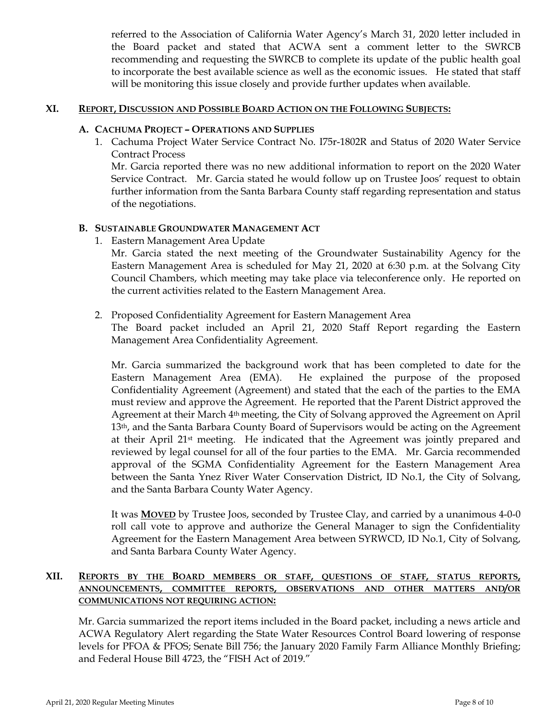referred to the Association of California Water Agency's March 31, 2020 letter included in the Board packet and stated that ACWA sent a comment letter to the SWRCB recommending and requesting the SWRCB to complete its update of the public health goal to incorporate the best available science as well as the economic issues. He stated that staff will be monitoring this issue closely and provide further updates when available.

#### **XI. REPORT, DISCUSSION AND POSSIBLE BOARD ACTION ON THE FOLLOWING SUBJECTS:**

## **A. CACHUMA PROJECT – OPERATIONS AND SUPPLIES**

1. Cachuma Project Water Service Contract No. I75r-1802R and Status of 2020 Water Service Contract Process

Mr. Garcia reported there was no new additional information to report on the 2020 Water Service Contract. Mr. Garcia stated he would follow up on Trustee Joos' request to obtain further information from the Santa Barbara County staff regarding representation and status of the negotiations.

## **B. SUSTAINABLE GROUNDWATER MANAGEMENT ACT**

1. Eastern Management Area Update

Mr. Garcia stated the next meeting of the Groundwater Sustainability Agency for the Eastern Management Area is scheduled for May 21, 2020 at 6:30 p.m. at the Solvang City Council Chambers, which meeting may take place via teleconference only. He reported on the current activities related to the Eastern Management Area.

2. Proposed Confidentiality Agreement for Eastern Management Area

The Board packet included an April 21, 2020 Staff Report regarding the Eastern Management Area Confidentiality Agreement.

Mr. Garcia summarized the background work that has been completed to date for the Eastern Management Area (EMA). He explained the purpose of the proposed Confidentiality Agreement (Agreement) and stated that the each of the parties to the EMA must review and approve the Agreement. He reported that the Parent District approved the Agreement at their March 4th meeting, the City of Solvang approved the Agreement on April 13th, and the Santa Barbara County Board of Supervisors would be acting on the Agreement at their April 21st meeting. He indicated that the Agreement was jointly prepared and reviewed by legal counsel for all of the four parties to the EMA. Mr. Garcia recommended approval of the SGMA Confidentiality Agreement for the Eastern Management Area between the Santa Ynez River Water Conservation District, ID No.1, the City of Solvang, and the Santa Barbara County Water Agency.

It was **MOVED** by Trustee Joos, seconded by Trustee Clay, and carried by a unanimous 4-0-0 roll call vote to approve and authorize the General Manager to sign the Confidentiality Agreement for the Eastern Management Area between SYRWCD, ID No.1, City of Solvang, and Santa Barbara County Water Agency.

# **XII. REPORTS BY THE BOARD MEMBERS OR STAFF, QUESTIONS OF STAFF, STATUS REPORTS, ANNOUNCEMENTS, COMMITTEE REPORTS, OBSERVATIONS AND OTHER MATTERS AND/OR COMMUNICATIONS NOT REQUIRING ACTION:**

Mr. Garcia summarized the report items included in the Board packet, including a news article and ACWA Regulatory Alert regarding the State Water Resources Control Board lowering of response levels for PFOA & PFOS; Senate Bill 756; the January 2020 Family Farm Alliance Monthly Briefing; and Federal House Bill 4723, the "FISH Act of 2019."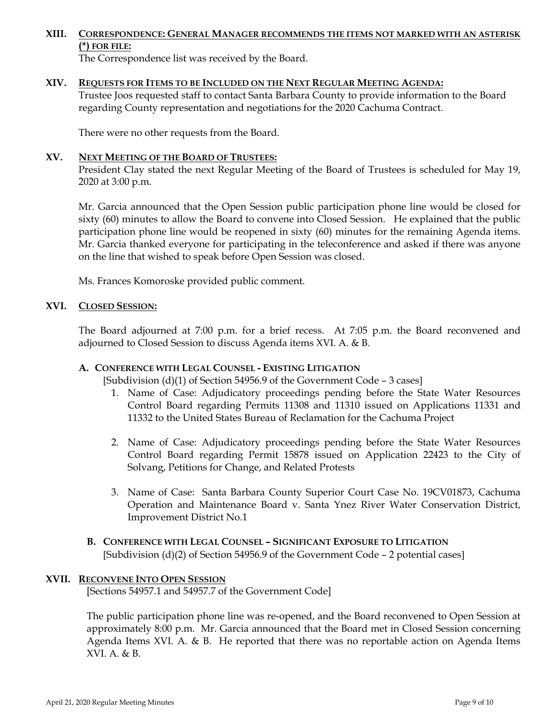# **XIII. CORRESPONDENCE: GENERAL MANAGER RECOMMENDS THE ITEMS NOT MARKED WITH AN ASTERISK (\*) FOR FILE:**

The Correspondence list was received by the Board.

## **XIV. REQUESTS FOR ITEMS TO BE INCLUDED ON THE NEXT REGULAR MEETING AGENDA:**

Trustee Joos requested staff to contact Santa Barbara County to provide information to the Board regarding County representation and negotiations for the 2020 Cachuma Contract.

There were no other requests from the Board.

#### **XV. NEXT MEETING OF THE BOARD OF TRUSTEES:**

President Clay stated the next Regular Meeting of the Board of Trustees is scheduled for May 19, 2020 at 3:00 p.m.

Mr. Garcia announced that the Open Session public participation phone line would be closed for sixty (60) minutes to allow the Board to convene into Closed Session. He explained that the public participation phone line would be reopened in sixty (60) minutes for the remaining Agenda items. Mr. Garcia thanked everyone for participating in the teleconference and asked if there was anyone on the line that wished to speak before Open Session was closed.

Ms. Frances Komoroske provided public comment.

## **XVI. CLOSED SESSION:**

The Board adjourned at 7:00 p.m. for a brief recess. At 7:05 p.m. the Board reconvened and adjourned to Closed Session to discuss Agenda items XVI. A. & B.

# **A. CONFERENCE WITH LEGAL COUNSEL - EXISTING LITIGATION**

[Subdivision  $(d)(1)$  of Section 54956.9 of the Government Code – 3 cases]

- 1. Name of Case: Adjudicatory proceedings pending before the State Water Resources Control Board regarding Permits 11308 and 11310 issued on Applications 11331 and 11332 to the United States Bureau of Reclamation for the Cachuma Project
- 2. Name of Case: Adjudicatory proceedings pending before the State Water Resources Control Board regarding Permit 15878 issued on Application 22423 to the City of Solvang, Petitions for Change, and Related Protests
- 3. Name of Case: Santa Barbara County Superior Court Case No. 19CV01873, Cachuma Operation and Maintenance Board v. Santa Ynez River Water Conservation District, Improvement District No.1
- **B. CONFERENCE WITH LEGAL COUNSEL – SIGNIFICANT EXPOSURE TO LITIGATION** Subdivision (d)(2) of Section 54956.9 of the Government Code – 2 potential cases

#### **XVII. RECONVENE INTO OPEN SESSION**

[Sections 54957.1 and 54957.7 of the Government Code]

The public participation phone line was re-opened, and the Board reconvened to Open Session at approximately 8:00 p.m. Mr. Garcia announced that the Board met in Closed Session concerning Agenda Items XVI. A. & B. He reported that there was no reportable action on Agenda Items XVI. A. & B.